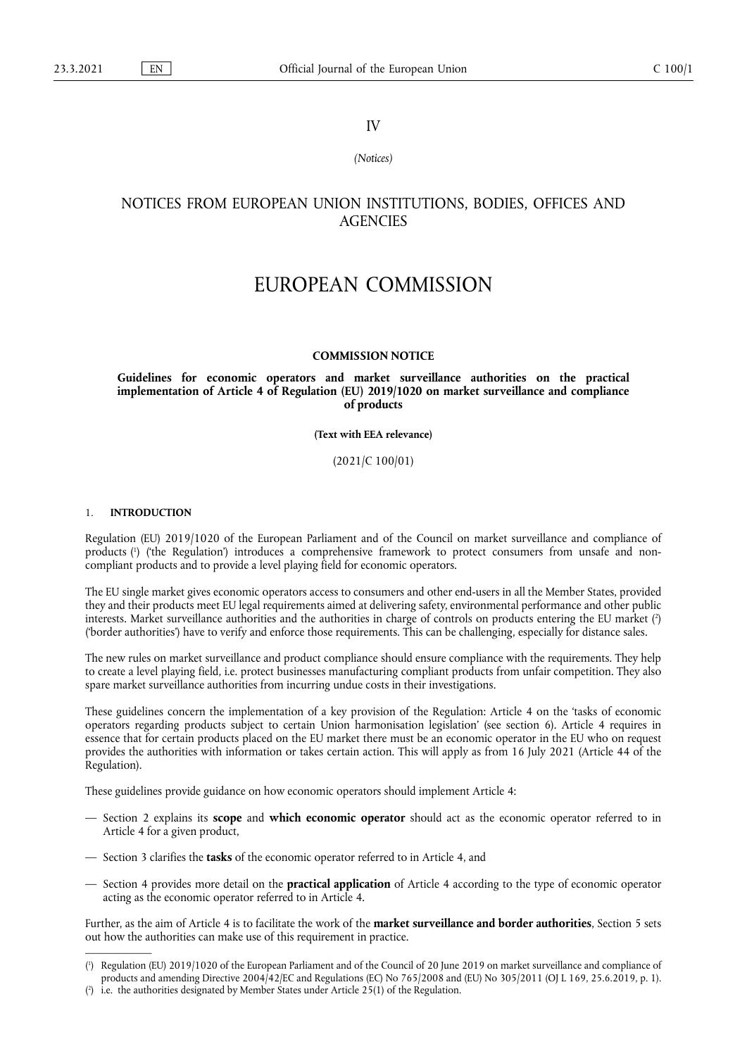# IV

# *(Notices)*

# NOTICES FROM EUROPEAN UNION INSTITUTIONS, BODIES, OFFICES AND **AGENCIES**

# EUROPEAN COMMISSION

# **COMMISSION NOTICE**

# **Guidelines for economic operators and market surveillance authorities on the practical implementation of Article 4 of Regulation (EU) 2019/1020 on market surveillance and compliance of products**

#### **(Text with EEA relevance)**

(2021/C 100/01)

# 1. **INTRODUCTION**

<span id="page-0-2"></span>Regulation (EU) 2019/1020 of the European Parliament and of the Council on market surveillance and compliance of product[s \(1](#page-0-0) ) ('the Regulation') introduces a comprehensive framework to protect consumers from unsafe and noncompliant products and to provide a level playing field for economic operators.

<span id="page-0-3"></span>The EU single market gives economic operators access to consumers and other end-users in all the Member States, provided they and their products meet EU legal requirements aimed at delivering safety, environmental performance and other public interests. Market surveillance authorities and the authorities in charge of controls on products entering the EU market [\(2](#page-0-1) ) ('border authorities') have to verify and enforce those requirements. This can be challenging, especially for distance sales.

The new rules on market surveillance and product compliance should ensure compliance with the requirements. They help to create a level playing field, i.e. protect businesses manufacturing compliant products from unfair competition. They also spare market surveillance authorities from incurring undue costs in their investigations.

These guidelines concern the implementation of a key provision of the Regulation: Article 4 on the 'tasks of economic operators regarding products subject to certain Union harmonisation legislation' (see section 6). Article 4 requires in essence that for certain products placed on the EU market there must be an economic operator in the EU who on request provides the authorities with information or takes certain action. This will apply as from 16 July 2021 (Article 44 of the Regulation).

These guidelines provide guidance on how economic operators should implement Article 4:

- Section 2 explains its **scope** and **which economic operator** should act as the economic operator referred to in Article 4 for a given product,
- Section 3 clarifies the **tasks** of the economic operator referred to in Article 4, and
- Section 4 provides more detail on the **practical application** of Article 4 according to the type of economic operator acting as the economic operator referred to in Article 4.

Further, as the aim of Article 4 is to facilitate the work of the **market surveillance and border authorities**, Section 5 sets out how the authorities can make use of this requirement in practice.

<span id="page-0-0"></span><sup>(</sup> 1 [\) R](#page-0-2)egulation (EU) 2019/1020 of the European Parliament and of the Council of 20 June 2019 on market surveillance and compliance of products and amending Directive 2004/42/EC and Regulations (EC) No 765/2008 and (EU) No 305/2011 (OJ L 169, 25.6.2019, p. 1).

<span id="page-0-1"></span><sup>(</sup> 2 [\) i](#page-0-3).e. the authorities designated by Member States under Article 25(1) of the Regulation.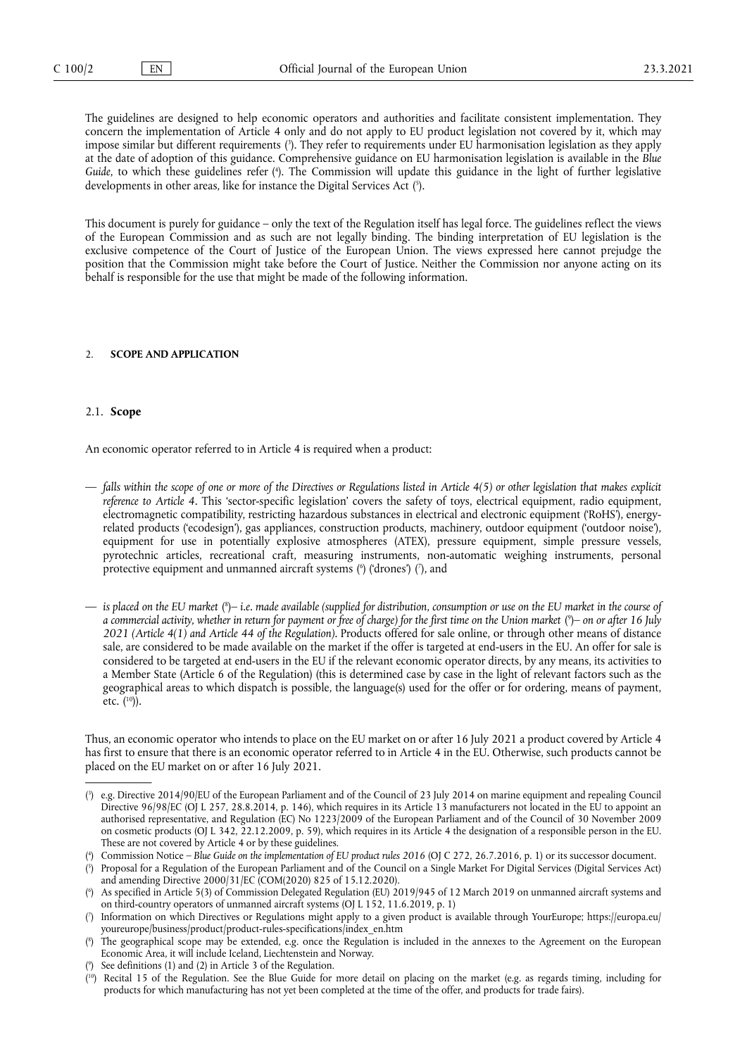<span id="page-1-9"></span><span id="page-1-8"></span>The guidelines are designed to help economic operators and authorities and facilitate consistent implementation. They concern the implementation of Article 4 only and do not apply to EU product legislation not covered by it, which may impose similar but different requirements [\(3](#page-1-0) ). They refer to requirements under EU harmonisation legislation as they apply at the date of adoption of this guidance. Comprehensive guidance on EU harmonisation legislation is available in the *Blue Guide*, to which these guidelines refer [\(4](#page-1-1) ). The Commission will update this guidance in the light of further legislative developments in other areas, like for instance the Digital Services Ac[t \(5](#page-1-2) ).

<span id="page-1-10"></span>This document is purely for guidance – only the text of the Regulation itself has legal force. The guidelines reflect the views of the European Commission and as such are not legally binding. The binding interpretation of EU legislation is the exclusive competence of the Court of Justice of the European Union. The views expressed here cannot prejudge the position that the Commission might take before the Court of Justice. Neither the Commission nor anyone acting on its behalf is responsible for the use that might be made of the following information.

#### 2. **SCOPE AND APPLICATION**

#### 2.1. **Scope**

An economic operator referred to in Article 4 is required when a product:

- *falls within the scope of one or more of the Directives or Regulations listed in Article 4(5) or other legislation that makes explicit reference to Article 4.* This 'sector-specific legislation' covers the safety of toys, electrical equipment, radio equipment, electromagnetic compatibility, restricting hazardous substances in electrical and electronic equipment ('RoHS'), energyrelated products ('ecodesign'), gas appliances, construction products, machinery, outdoor equipment ('outdoor noise'), equipment for use in potentially explosive atmospheres (ATEX), pressure equipment, simple pressure vessels, pyrotechnic articles, recreational craft, measuring instruments, non-automatic weighing instruments, personal protective equipment and unmanned aircraft systems (<sup>6</sup>) ('drones') (<sup>7</sup>), and
- <span id="page-1-13"></span><span id="page-1-12"></span><span id="page-1-11"></span> $-$  is placed on the EU market [\(](#page-1-5)<sup>s</sup>)– i.e. made available (supplied for distribution, consumption or use on the EU market in the course of *a commercial activity, whether in return for payment or free of charge) for the first time on the Union market* [\(](#page-1-6) 9 )*– on or after 16 July 2021 (Article 4(1) and Article 44 of the Regulation).* Products offered for sale online, or through other means of distance sale, are considered to be made available on the market if the offer is targeted at end-users in the EU. An offer for sale is considered to be targeted at end-users in the EU if the relevant economic operator directs, by any means, its activities to a Member State (Article 6 of the Regulation) (this is determined case by case in the light of relevant factors such as the geographical areas to which dispatch is possible, the language(s) used for the offer or for ordering, means of payment, etc.  $(^{10})$ ).

<span id="page-1-14"></span>Thus, an economic operator who intends to place on the EU market on or after 16 July 2021 a product covered by Article 4 has first to ensure that there is an economic operator referred to in Article 4 in the EU. Otherwise, such products cannot be placed on the EU market on or after 16 July 2021.

<span id="page-1-0"></span><sup>(</sup> 3 [\) e](#page-1-8).g. Directive 2014/90/EU of the European Parliament and of the Council of 23 July 2014 on marine equipment and repealing Council Directive 96/98/EC (OJ L 257, 28.8.2014, p. 146), which requires in its Article 13 manufacturers not located in the EU to appoint an authorised representative, and Regulation (EC) No 1223/2009 of the European Parliament and of the Council of 30 November 2009 on cosmetic products (OJ L 342, 22.12.2009, p. 59), which requires in its Article 4 the designation of a responsible person in the EU. These are not covered by Article 4 or by these guidelines.

<span id="page-1-1"></span><sup>(\*</sup>[\) C](#page-1-9)ommission Notice – *Blue Guide on the implementation of EU product rules 2016* (OJ C 272, 26.7.2016, p. 1) or its successor document.

<span id="page-1-2"></span><sup>(</sup> 5 [\) P](#page-1-10)roposal for a Regulation of the European Parliament and of the Council on a Single Market For Digital Services (Digital Services Act) and amending Directive 2000/31/EC (COM(2020) 825 of 15.12.2020).

<span id="page-1-3"></span><sup>(</sup> 6 [\) A](#page-1-11)s specified in Article 5(3) of Commission Delegated Regulation (EU) 2019/945 of 12 March 2019 on unmanned aircraft systems and on third-country operators of unmanned aircraft systems (OJ L 152, 11.6.2019, p. 1)

<span id="page-1-4"></span><sup>(</sup> 7 [\) I](#page-1-11)nformation on which Directives or Regulations might apply to a given product is available through YourEurope; [https://europa.eu/](https://europa.eu/youreurope/business/product/product-rules-specifications/index_en.htm) [youreurope/business/product/product-rules-specifications/index\\_en.htm](https://europa.eu/youreurope/business/product/product-rules-specifications/index_en.htm)

<span id="page-1-5"></span><sup>(</sup> 8 [\) T](#page-1-12)he geographical scope may be extended, e.g. once the Regulation is included in the annexes to the Agreement on the European Economic Area, it will include Iceland, Liechtenstein and Norway.

<span id="page-1-6"></span><sup>(</sup> 9 [\) S](#page-1-13)ee definitions (1) and (2) in Article 3 of the Regulation.

<span id="page-1-7"></span><sup>(</sup> [10\) R](#page-1-14)ecital 15 of the Regulation. See the Blue Guide for more detail on placing on the market (e.g. as regards timing, including for products for which manufacturing has not yet been completed at the time of the offer, and products for trade fairs).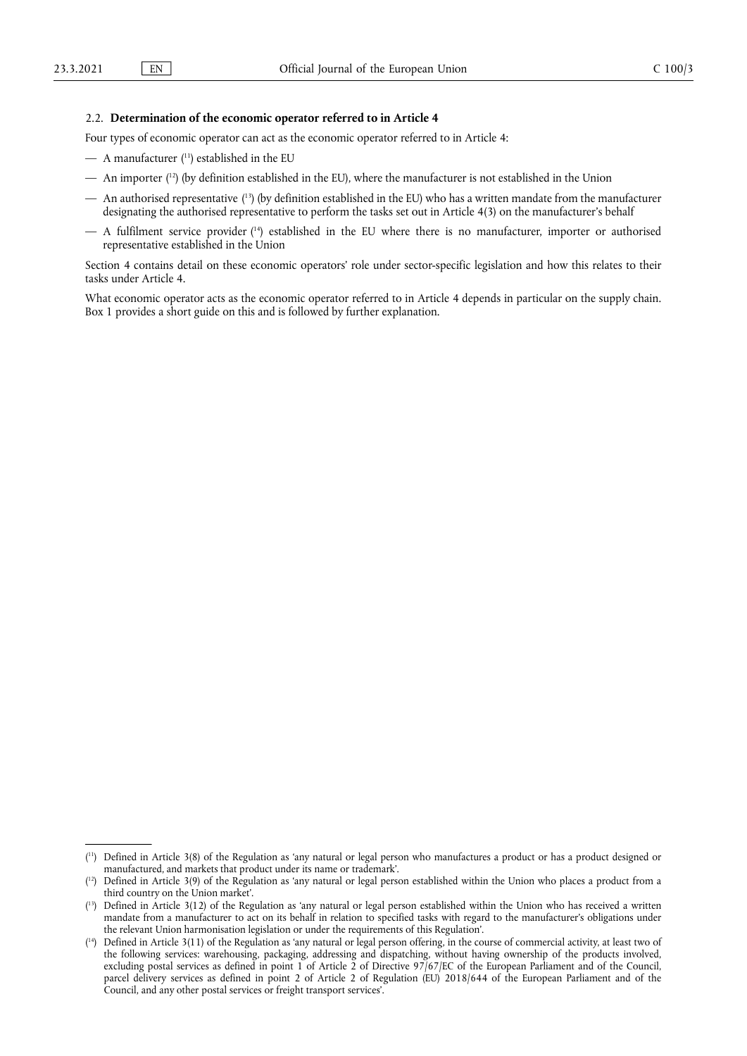# 2.2. **Determination of the economic operator referred to in Article 4**

Four types of economic operator can act as the economic operator referred to in Article 4:

- <span id="page-2-4"></span> $-$  A manufacturer ( $11$ ) established in the EU
- <span id="page-2-5"></span>— An importe[r \(12\)](#page-2-1) (by definition established in the EU), where the manufacturer is not established in the Union
- <span id="page-2-6"></span>— An authorised representative [\(13\)](#page-2-2) (by definition established in the EU) who has a written mandate from the manufacturer designating the authorised representative to perform the tasks set out in Article 4(3) on the manufacturer's behalf
- <span id="page-2-7"></span> $-$  A fulfilment service provider  $(14)$  established in the EU where there is no manufacturer, importer or authorised representative established in the Union

Section 4 contains detail on these economic operators' role under sector-specific legislation and how this relates to their tasks under Article 4.

What economic operator acts as the economic operator referred to in Article 4 depends in particular on the supply chain. Box 1 provides a short guide on this and is followed by further explanation.

<span id="page-2-0"></span><sup>(</sup> [11\) D](#page-2-4)efined in Article 3(8) of the Regulation as 'any natural or legal person who manufactures a product or has a product designed or manufactured, and markets that product under its name or trademark'.

<span id="page-2-1"></span> $(1<sup>2</sup>)$  Defined in Article 3(9) of the Regulation as 'any natural or legal person established within the Union who places a product from a third country on the Union market'.

<span id="page-2-2"></span><sup>(</sup> [13\) D](#page-2-6)efined in Article 3(12) of the Regulation as 'any natural or legal person established within the Union who has received a written mandate from a manufacturer to act on its behalf in relation to specified tasks with regard to the manufacturer's obligations under the relevant Union harmonisation legislation or under the requirements of this Regulation'.

<span id="page-2-3"></span><sup>(</sup> [14\) D](#page-2-7)efined in Article 3(11) of the Regulation as 'any natural or legal person offering, in the course of commercial activity, at least two of the following services: warehousing, packaging, addressing and dispatching, without having ownership of the products involved, excluding postal services as defined in point 1 of Article 2 of Directive 97/67/EC of the European Parliament and of the Council, parcel delivery services as defined in point 2 of Article 2 of Regulation (EU) 2018/644 of the European Parliament and of the Council, and any other postal services or freight transport services'.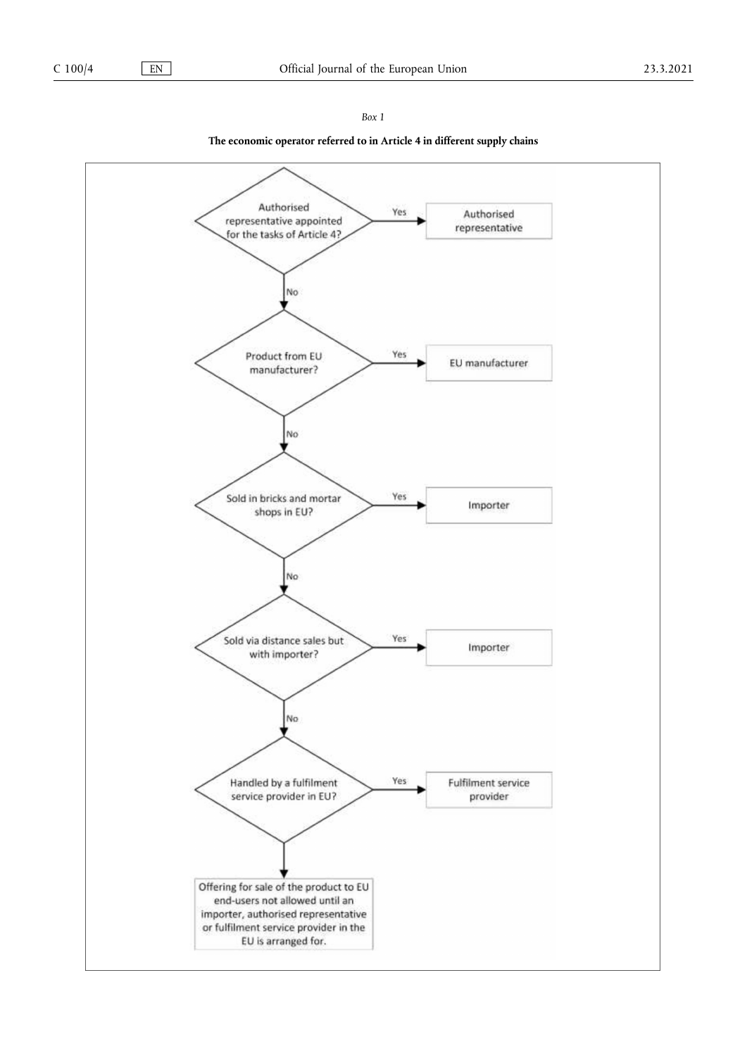*Box 1* 

# **The economic operator referred to in Article 4 in different supply chains**

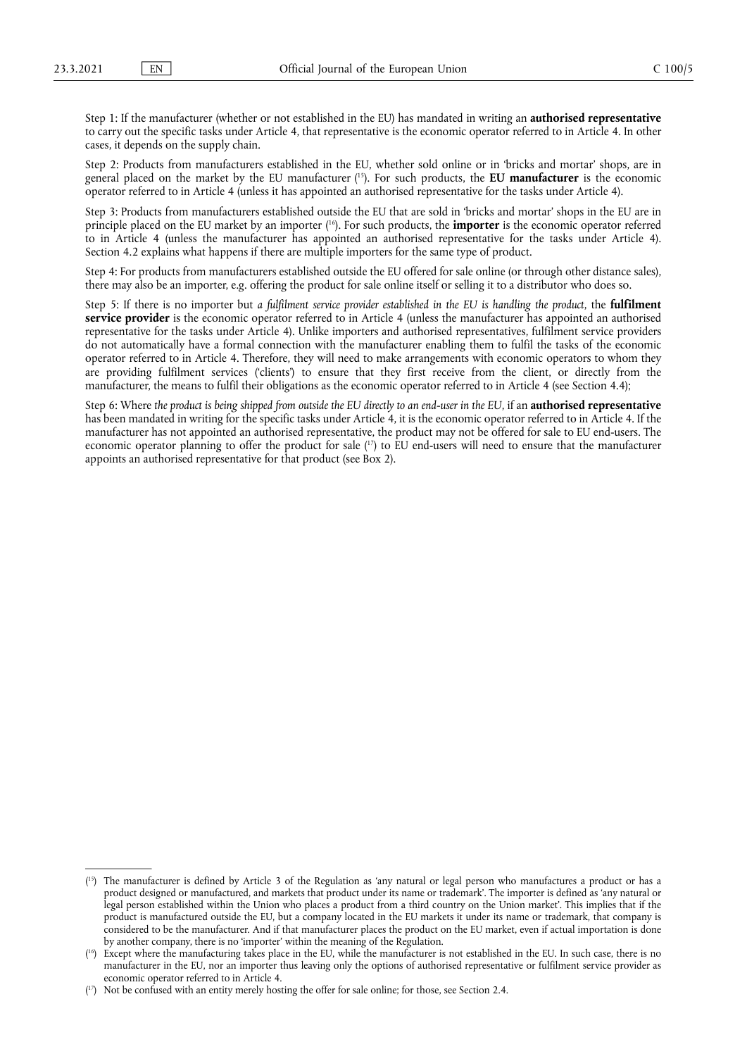Step 1: If the manufacturer (whether or not established in the EU) has mandated in writing an **authorised representative**  to carry out the specific tasks under Article 4, that representative is the economic operator referred to in Article 4. In other cases, it depends on the supply chain.

<span id="page-4-3"></span>Step 2: Products from manufacturers established in the EU, whether sold online or in 'bricks and mortar' shops, are in general placed on the market by the EU manufacturer [\(15\).](#page-4-0) For such products, the **EU manufacturer** is the economic operator referred to in Article 4 (unless it has appointed an authorised representative for the tasks under Article 4).

<span id="page-4-4"></span>Step 3: Products from manufacturers established outside the EU that are sold in 'bricks and mortar' shops in the EU are in principle placed on the EU market by an importer [\(16\).](#page-4-1) For such products, the **importer** is the economic operator referred to in Article 4 (unless the manufacturer has appointed an authorised representative for the tasks under Article 4). Section 4.2 explains what happens if there are multiple importers for the same type of product.

Step 4: For products from manufacturers established outside the EU offered for sale online (or through other distance sales), there may also be an importer, e.g. offering the product for sale online itself or selling it to a distributor who does so.

Step 5: If there is no importer but *a fulfilment service provider established in the EU is handling the product*, the **fulfilment service provider** is the economic operator referred to in Article 4 (unless the manufacturer has appointed an authorised representative for the tasks under Article 4). Unlike importers and authorised representatives, fulfilment service providers do not automatically have a formal connection with the manufacturer enabling them to fulfil the tasks of the economic operator referred to in Article 4. Therefore, they will need to make arrangements with economic operators to whom they are providing fulfilment services ('clients') to ensure that they first receive from the client, or directly from the manufacturer, the means to fulfil their obligations as the economic operator referred to in Article 4 (see Section 4.4);

<span id="page-4-5"></span>Step 6: Where *the product is being shipped from outside the EU directly to an end-user in the EU*, if an **authorised representative**  has been mandated in writing for the specific tasks under Article 4, it is the economic operator referred to in Article 4. If the manufacturer has not appointed an authorised representative, the product may not be offered for sale to EU end-users. The economic operator planning to offer the product for sale  $(17)$  to EU end-users will need to ensure that the manufacturer appoints an authorised representative for that product (see Box 2).

<span id="page-4-0"></span><sup>(</sup> [15\) T](#page-4-3)he manufacturer is defined by Article 3 of the Regulation as 'any natural or legal person who manufactures a product or has a product designed or manufactured, and markets that product under its name or trademark'. The importer is defined as 'any natural or legal person established within the Union who places a product from a third country on the Union market'. This implies that if the product is manufactured outside the EU, but a company located in the EU markets it under its name or trademark, that company is considered to be the manufacturer. And if that manufacturer places the product on the EU market, even if actual importation is done by another company, there is no 'importer' within the meaning of the Regulation.

<span id="page-4-1"></span><sup>(</sup> [16\) E](#page-4-4)xcept where the manufacturing takes place in the EU, while the manufacturer is not established in the EU. In such case, there is no manufacturer in the EU, nor an importer thus leaving only the options of authorised representative or fulfilment service provider as economic operator referred to in Article 4.

<span id="page-4-2"></span><sup>(</sup> [17\) N](#page-4-5)ot be confused with an entity merely hosting the offer for sale online; for those, see Section 2.4.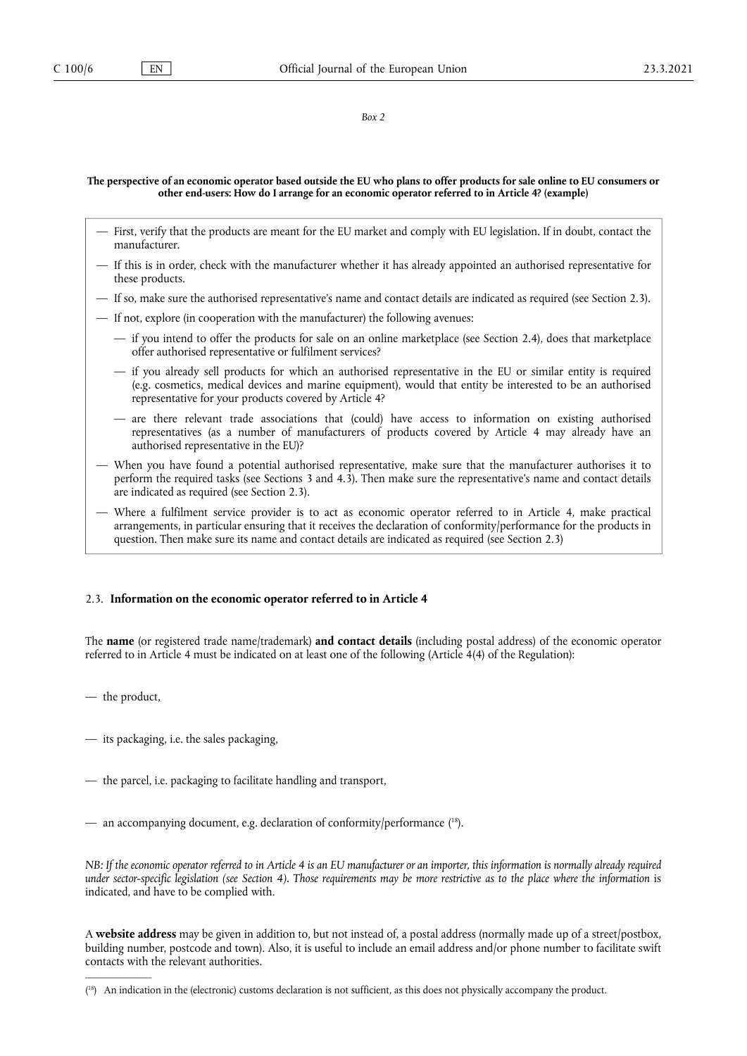#### *Box 2*

### **The perspective of an economic operator based outside the EU who plans to offer products for sale online to EU consumers or other end-users: How do I arrange for an economic operator referred to in Article 4? (example)**

- First, verify that the products are meant for the EU market and comply with EU legislation. If in doubt, contact the manufacturer.
- If this is in order, check with the manufacturer whether it has already appointed an authorised representative for these products.
- If so, make sure the authorised representative's name and contact details are indicated as required (see Section 2.3).
- If not, explore (in cooperation with the manufacturer) the following avenues:
	- if you intend to offer the products for sale on an online marketplace (see Section 2.4), does that marketplace offer authorised representative or fulfilment services?
	- if you already sell products for which an authorised representative in the EU or similar entity is required (e.g. cosmetics, medical devices and marine equipment), would that entity be interested to be an authorised representative for your products covered by Article 4?
	- are there relevant trade associations that (could) have access to information on existing authorised representatives (as a number of manufacturers of products covered by Article 4 may already have an authorised representative in the EU)?
- When you have found a potential authorised representative, make sure that the manufacturer authorises it to perform the required tasks (see Sections 3 and 4.3). Then make sure the representative's name and contact details are indicated as required (see Section 2.3).
- Where a fulfilment service provider is to act as economic operator referred to in Article 4, make practical arrangements, in particular ensuring that it receives the declaration of conformity/performance for the products in question. Then make sure its name and contact details are indicated as required (see Section 2.3)

# 2.3. **Information on the economic operator referred to in Article 4**

The **name** (or registered trade name/trademark) **and contact details** (including postal address) of the economic operator referred to in Article 4 must be indicated on at least one of the following (Article 4(4) of the Regulation):

- the product,
- its packaging, i.e. the sales packaging,
- the parcel, i.e. packaging to facilitate handling and transport,
- <span id="page-5-1"></span>— an accompanying document, e.g. declaration of conformity/performance  $(18)$ .

*NB: If the economic operator referred to in Article 4 is an EU manufacturer or an importer, this information is normally already required under sector-specific legislation (see Section 4). Those requirements may be more restrictive as to the place where the information is* indicated, and have to be complied with.

A **website address** may be given in addition to, but not instead of, a postal address (normally made up of a street/postbox, building number, postcode and town). Also, it is useful to include an email address and/or phone number to facilitate swift contacts with the relevant authorities.

<span id="page-5-0"></span><sup>(</sup> [18\) A](#page-5-1)n indication in the (electronic) customs declaration is not sufficient, as this does not physically accompany the product.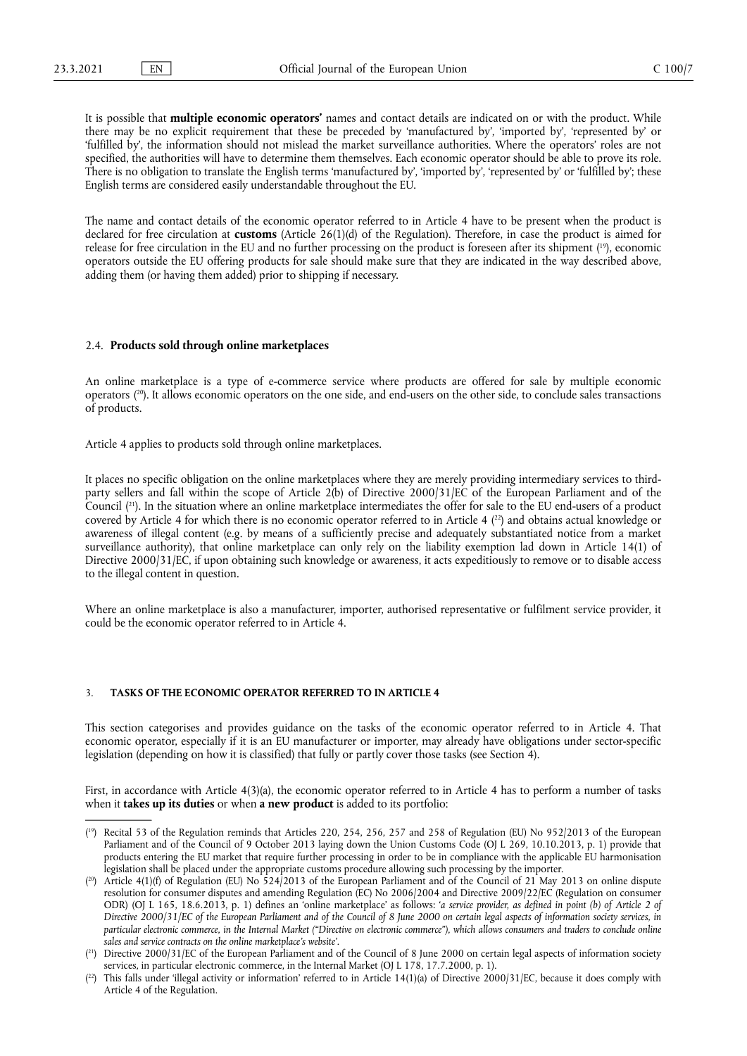It is possible that **multiple economic operators'** names and contact details are indicated on or with the product. While there may be no explicit requirement that these be preceded by 'manufactured by', 'imported by', 'represented by' or 'fulfilled by', the information should not mislead the market surveillance authorities. Where the operators' roles are not specified, the authorities will have to determine them themselves. Each economic operator should be able to prove its role. There is no obligation to translate the English terms 'manufactured by', 'imported by', 'represented by' or 'fulfilled by'; these English terms are considered easily understandable throughout the EU.

<span id="page-6-4"></span>The name and contact details of the economic operator referred to in Article 4 have to be present when the product is declared for free circulation at **customs** (Article 26(1)(d) of the Regulation). Therefore, in case the product is aimed for release for free circulation in the EU and no further processing on the product is foreseen after its shipment [\(19\),](#page-6-0) economic operators outside the EU offering products for sale should make sure that they are indicated in the way described above, adding them (or having them added) prior to shipping if necessary.

#### 2.4. **Products sold through online marketplaces**

<span id="page-6-5"></span>An online marketplace is a type of e-commerce service where products are offered for sale by multiple economic operators [\(20\).](#page-6-1) It allows economic operators on the one side, and end-users on the other side, to conclude sales transactions of products.

Article 4 applies to products sold through online marketplaces.

<span id="page-6-7"></span><span id="page-6-6"></span>It places no specific obligation on the online marketplaces where they are merely providing intermediary services to thirdparty sellers and fall within the scope of Article 2(b) of Directive 2000/31/EC of the European Parliament and of the Counci[l \(21\)](#page-6-2). In the situation where an online marketplace intermediates the offer for sale to the EU end-users of a product covered by Article 4 for which there is no economic operator referred to in Article 4 <sup>(22</sup>) and obtains actual knowledge or awareness of illegal content (e.g. by means of a sufficiently precise and adequately substantiated notice from a market surveillance authority), that online marketplace can only rely on the liability exemption lad down in Article 14(1) of Directive 2000/31/EC, if upon obtaining such knowledge or awareness, it acts expeditiously to remove or to disable access to the illegal content in question.

Where an online marketplace is also a manufacturer, importer, authorised representative or fulfilment service provider, it could be the economic operator referred to in Article 4.

# 3. **TASKS OF THE ECONOMIC OPERATOR REFERRED TO IN ARTICLE 4**

This section categorises and provides guidance on the tasks of the economic operator referred to in Article 4. That economic operator, especially if it is an EU manufacturer or importer, may already have obligations under sector-specific legislation (depending on how it is classified) that fully or partly cover those tasks (see Section 4).

First, in accordance with Article 4(3)(a), the economic operator referred to in Article 4 has to perform a number of tasks when it **takes up its duties** or when **a new product** is added to its portfolio:

<span id="page-6-0"></span><sup>(</sup> [19\) R](#page-6-4)ecital 53 of the Regulation reminds that Articles 220, 254, 256, 257 and 258 of Regulation (EU) No 952/2013 of the European Parliament and of the Council of 9 October 2013 laying down the Union Customs Code (OJ L 269, 10.10.2013, p. 1) provide that products entering the EU market that require further processing in order to be in compliance with the applicable EU harmonisation legislation shall be placed under the appropriate customs procedure allowing such processing by the importer.

<span id="page-6-1"></span> $(20)$  Article 4(1)(f) of Regulation (EU) No 524/2013 of the European Parliament and of the Council of 21 May 2013 on online dispute resolution for consumer disputes and amending Regulation (EC) No 2006/2004 and Directive 2009/22/EC (Regulation on consumer ODR) (OJ L 165, 18.6.2013, p. 1) defines an 'online marketplace' as follows: '*a service provider, as defined in point (b) of Article 2 of Directive 2000/31/EC of the European Parliament and of the Council of 8 June 2000 on certain legal aspects of information society services, in particular electronic commerce, in the Internal Market ("Directive on electronic commerce"), which allows consumers and traders to conclude online sales and service contracts on the online marketplace's website'*.

<span id="page-6-2"></span><sup>(</sup> [21\) D](#page-6-6)irective 2000/31/EC of the European Parliament and of the Council of 8 June 2000 on certain legal aspects of information society services, in particular electronic commerce, in the Internal Market (OJ L 178, 17.7.2000, p. 1).

<span id="page-6-3"></span> $(2^2)$  This falls under 'illegal activity or information' referred to in Article 14(1)(a) of Directive 2000/31/EC, because it does comply with Article 4 of the Regulation.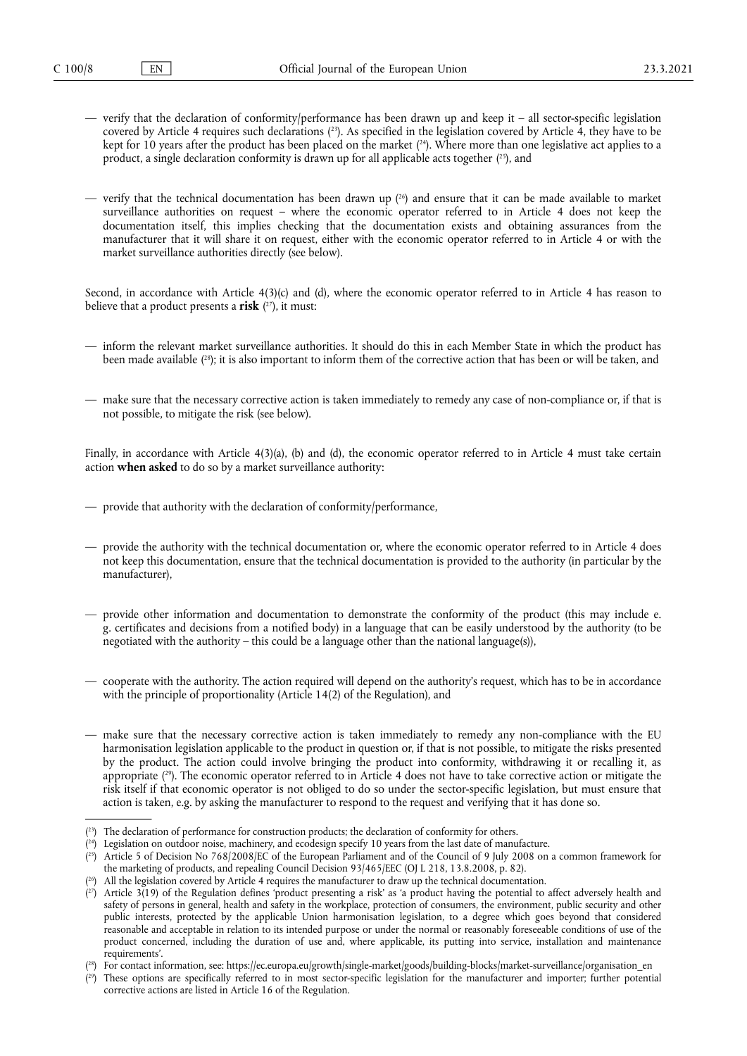- <span id="page-7-9"></span><span id="page-7-8"></span><span id="page-7-7"></span>— verify that the declaration of conformity/performance has been drawn up and keep it – all sector-specific legislation covered by Article 4 requires such declaration[s \(23\).](#page-7-0) As specified in the legislation covered by Article 4, they have to be kept for 10 years after the product has been placed on the market  $(24)$ . Where more than one legislative act applies to a product, a single declaration conformity is drawn up for all applicable acts together  $(^{25})$ , and
- <span id="page-7-10"></span>— verify that the technical documentation has been drawn up  $(26)$  and ensure that it can be made available to market surveillance authorities on request – where the economic operator referred to in Article 4 does not keep the documentation itself, this implies checking that the documentation exists and obtaining assurances from the manufacturer that it will share it on request, either with the economic operator referred to in Article 4 or with the market surveillance authorities directly (see below).

<span id="page-7-11"></span>Second, in accordance with Article 4(3)(c) and (d), where the economic operator referred to in Article 4 has reason to believe that a product presents a **risk** ( [27\),](#page-7-4) it must:

- <span id="page-7-12"></span>— inform the relevant market surveillance authorities. It should do this in each Member State in which the product has been made available (<sup>28</sup>); it is also important to inform them of the corrective action that has been or will be taken, and
- make sure that the necessary corrective action is taken immediately to remedy any case of non-compliance or, if that is not possible, to mitigate the risk (see below).

Finally, in accordance with Article 4(3)(a), (b) and (d), the economic operator referred to in Article 4 must take certain action **when asked** to do so by a market surveillance authority:

- provide that authority with the declaration of conformity/performance,
- provide the authority with the technical documentation or, where the economic operator referred to in Article 4 does not keep this documentation, ensure that the technical documentation is provided to the authority (in particular by the manufacturer),
- provide other information and documentation to demonstrate the conformity of the product (this may include e. g. certificates and decisions from a notified body) in a language that can be easily understood by the authority (to be negotiated with the authority – this could be a language other than the national language(s)),
- cooperate with the authority. The action required will depend on the authority's request, which has to be in accordance with the principle of proportionality (Article 14(2) of the Regulation), and
- <span id="page-7-13"></span>— make sure that the necessary corrective action is taken immediately to remedy any non-compliance with the EU harmonisation legislation applicable to the product in question or, if that is not possible, to mitigate the risks presented by the product. The action could involve bringing the product into conformity, withdrawing it or recalling it, as appropriat[e \(29\)](#page-7-6). The economic operator referred to in Article 4 does not have to take corrective action or mitigate the risk itself if that economic operator is not obliged to do so under the sector-specific legislation, but must ensure that action is taken, e.g. by asking the manufacturer to respond to the request and verifying that it has done so.

<span id="page-7-0"></span><sup>(</sup> [23\) T](#page-7-7)he declaration of performance for construction products; the declaration of conformity for others.

<span id="page-7-1"></span><sup>(</sup> [24\) L](#page-7-8)egislation on outdoor noise, machinery, and ecodesign specify 10 years from the last date of manufacture.

<span id="page-7-2"></span><sup>(</sup> [25\) A](#page-7-9)rticle 5 of Decision No 768/2008/EC of the European Parliament and of the Council of 9 July 2008 on a common framework for the marketing of products, and repealing Council Decision 93/465/EEC (OJ L 218, 13.8.2008, p. 82).

<span id="page-7-3"></span><sup>(</sup> [26\) A](#page-7-10)ll the legislation covered by Article 4 requires the manufacturer to draw up the technical documentation.

<span id="page-7-4"></span><sup>(</sup> [27\) A](#page-7-11)rticle 3(19) of the Regulation defines 'product presenting a risk' as 'a product having the potential to affect adversely health and safety of persons in general, health and safety in the workplace, protection of consumers, the environment, public security and other public interests, protected by the applicable Union harmonisation legislation, to a degree which goes beyond that considered reasonable and acceptable in relation to its intended purpose or under the normal or reasonably foreseeable conditions of use of the product concerned, including the duration of use and, where applicable, its putting into service, installation and maintenance requirements'.

<span id="page-7-5"></span><sup>(</sup> [28\) F](#page-7-12)or contact information, see: [https://ec.europa.eu/growth/single-market/goods/building-blocks/market-surveillance/organisation\\_en](https://ec.europa.eu/growth/single-market/goods/building-blocks/market-surveillance/organisation_en)

<span id="page-7-6"></span><sup>(</sup> [29\) T](#page-7-13)hese options are specifically referred to in most sector-specific legislation for the manufacturer and importer; further potential corrective actions are listed in Article 16 of the Regulation.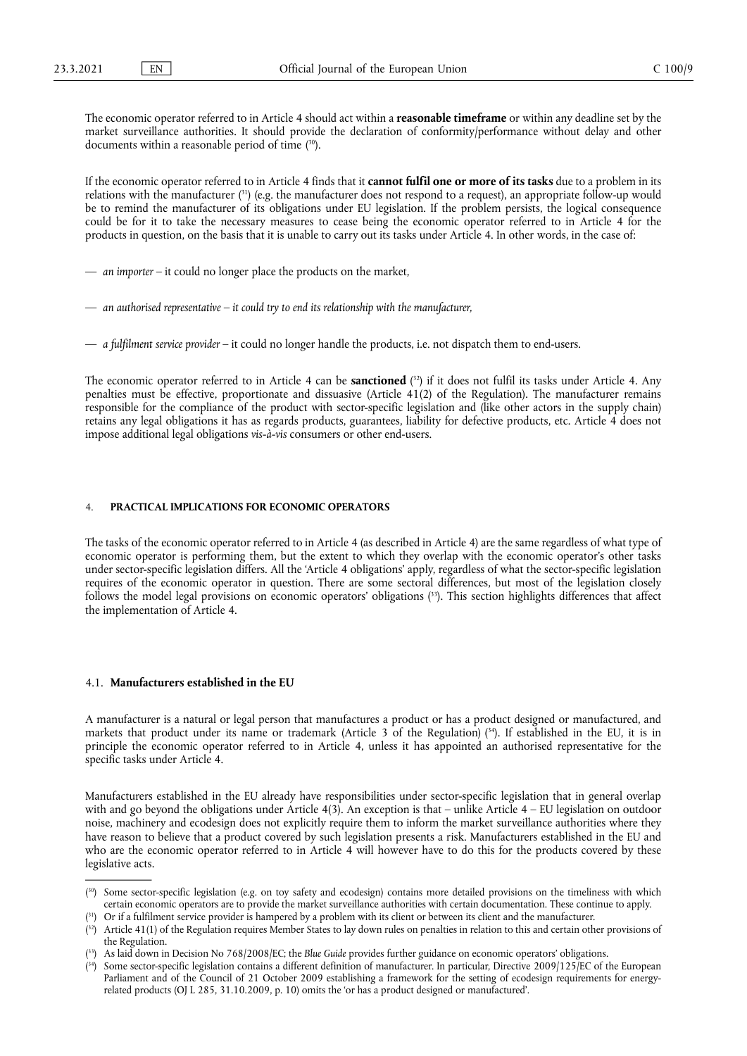<span id="page-8-5"></span>The economic operator referred to in Article 4 should act within a **reasonable timeframe** or within any deadline set by the market surveillance authorities. It should provide the declaration of conformity/performance without delay and other documents within a reasonable period of tim[e \(30\).](#page-8-0)

<span id="page-8-6"></span>If the economic operator referred to in Article 4 finds that it **cannot fulfil one or more of its tasks** due to a problem in its relations with the manufacture[r \(31\)](#page-8-1) (e.g. the manufacturer does not respond to a request), an appropriate follow-up would be to remind the manufacturer of its obligations under EU legislation. If the problem persists, the logical consequence could be for it to take the necessary measures to cease being the economic operator referred to in Article 4 for the products in question, on the basis that it is unable to carry out its tasks under Article 4. In other words, in the case of:

- *an importer*  it could no longer place the products on the market,
- *an authorised representative it could try to end its relationship with the manufacturer,*
- *a fulfilment service provider*  it could no longer handle the products, i.e. not dispatch them to end-users.

<span id="page-8-7"></span>The economic operator referred to in Article 4 can be **sanctioned** ( [32\)](#page-8-2) if it does not fulfil its tasks under Article 4. Any penalties must be effective, proportionate and dissuasive (Article 41(2) of the Regulation). The manufacturer remains responsible for the compliance of the product with sector-specific legislation and (like other actors in the supply chain) retains any legal obligations it has as regards products, guarantees, liability for defective products, etc. Article 4 does not impose additional legal obligations *vis-à-vis* consumers or other end-users.

# 4. **PRACTICAL IMPLICATIONS FOR ECONOMIC OPERATORS**

<span id="page-8-8"></span>The tasks of the economic operator referred to in Article 4 (as described in Article 4) are the same regardless of what type of economic operator is performing them, but the extent to which they overlap with the economic operator's other tasks under sector-specific legislation differs. All the 'Article 4 obligations' apply, regardless of what the sector-specific legislation requires of the economic operator in question. There are some sectoral differences, but most of the legislation closely follows the model legal provisions on economic operators' obligations [\(33\)](#page-8-3). This section highlights differences that affect the implementation of Article 4.

# 4.1. **Manufacturers established in the EU**

<span id="page-8-9"></span>A manufacturer is a natural or legal person that manufactures a product or has a product designed or manufactured, and markets that product under its name or trademark (Article 3 of the Regulation)  $(34)$ . If established in the EU, it is in principle the economic operator referred to in Article 4, unless it has appointed an authorised representative for the specific tasks under Article 4.

Manufacturers established in the EU already have responsibilities under sector-specific legislation that in general overlap with and go beyond the obligations under Article  $4(3)$ . An exception is that – unlike Article  $4 - EU$  legislation on outdoor noise, machinery and ecodesign does not explicitly require them to inform the market surveillance authorities where they have reason to believe that a product covered by such legislation presents a risk. Manufacturers established in the EU and who are the economic operator referred to in Article 4 will however have to do this for the products covered by these legislative acts.

<span id="page-8-0"></span><sup>(</sup>[30\) S](#page-8-5)ome sector-specific legislation (e.g. on toy safety and ecodesign) contains more detailed provisions on the timeliness with which certain economic operators are to provide the market surveillance authorities with certain documentation. These continue to apply.

<span id="page-8-1"></span> $(31)$  Or if a fulfilment service provider is hampered by a problem with its client or between its client and the manufacturer.

<span id="page-8-2"></span> $^{(32)}$  Article 41(1) of the Regulation requires Member States to lay down rules on penalties in relation to this and certain other provisions of the Regulation.

<span id="page-8-3"></span><sup>(</sup> [33\) A](#page-8-8)s laid down in Decision No 768/2008/EC; the *Blue Guide* provides further guidance on economic operators' obligations.

<span id="page-8-4"></span><sup>(</sup> [34\) S](#page-8-9)ome sector-specific legislation contains a different definition of manufacturer. In particular, Directive 2009/125/EC of the European Parliament and of the Council of 21 October 2009 establishing a framework for the setting of ecodesign requirements for energyrelated products (OJ L 285, 31.10.2009, p. 10) omits the 'or has a product designed or manufactured'.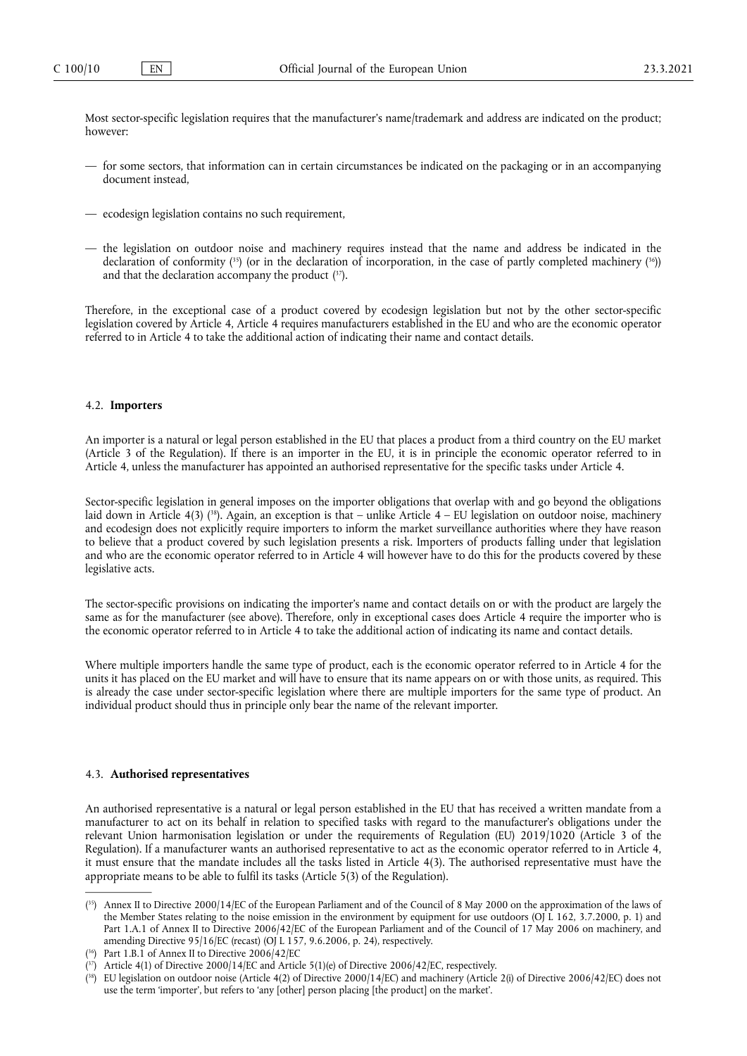Most sector-specific legislation requires that the manufacturer's name/trademark and address are indicated on the product; however:

- for some sectors, that information can in certain circumstances be indicated on the packaging or in an accompanying document instead,
- ecodesign legislation contains no such requirement,
- <span id="page-9-5"></span><span id="page-9-4"></span>— the legislation on outdoor noise and machinery requires instead that the name and address be indicated in the declaration of conformity  $(35)$  (or in the declaration of incorporation, in the case of partly completed machinery  $(36)$ ) and that the declaration accompany the product  $(37)$ .

Therefore, in the exceptional case of a product covered by ecodesign legislation but not by the other sector-specific legislation covered by Article 4, Article 4 requires manufacturers established in the EU and who are the economic operator referred to in Article 4 to take the additional action of indicating their name and contact details.

# 4.2. **Importers**

An importer is a natural or legal person established in the EU that places a product from a third country on the EU market (Article 3 of the Regulation). If there is an importer in the EU, it is in principle the economic operator referred to in Article 4, unless the manufacturer has appointed an authorised representative for the specific tasks under Article 4.

<span id="page-9-6"></span>Sector-specific legislation in general imposes on the importer obligations that overlap with and go beyond the obligations laid down in Article 4(3) (<sup>38</sup>). Again, an exception is that – unlike Article 4 – EU legislation on outdoor noise, machinery and ecodesign does not explicitly require importers to inform the market surveillance authorities where they have reason to believe that a product covered by such legislation presents a risk. Importers of products falling under that legislation and who are the economic operator referred to in Article 4 will however have to do this for the products covered by these legislative acts.

The sector-specific provisions on indicating the importer's name and contact details on or with the product are largely the same as for the manufacturer (see above). Therefore, only in exceptional cases does Article 4 require the importer who is the economic operator referred to in Article 4 to take the additional action of indicating its name and contact details.

Where multiple importers handle the same type of product, each is the economic operator referred to in Article 4 for the units it has placed on the EU market and will have to ensure that its name appears on or with those units, as required. This is already the case under sector-specific legislation where there are multiple importers for the same type of product. An individual product should thus in principle only bear the name of the relevant importer.

# 4.3. **Authorised representatives**

An authorised representative is a natural or legal person established in the EU that has received a written mandate from a manufacturer to act on its behalf in relation to specified tasks with regard to the manufacturer's obligations under the relevant Union harmonisation legislation or under the requirements of Regulation (EU) 2019/1020 (Article 3 of the Regulation). If a manufacturer wants an authorised representative to act as the economic operator referred to in Article 4, it must ensure that the mandate includes all the tasks listed in Article 4(3). The authorised representative must have the appropriate means to be able to fulfil its tasks (Article 5(3) of the Regulation).

<span id="page-9-0"></span><sup>(</sup> [35\) A](#page-9-4)nnex II to Directive 2000/14/EC of the European Parliament and of the Council of 8 May 2000 on the approximation of the laws of the Member States relating to the noise emission in the environment by equipment for use outdoors (OJ L 162, 3.7.2000, p. 1) and Part 1.A.1 of Annex II to Directive 2006/42/EC of the European Parliament and of the Council of 17 May 2006 on machinery, and amending Directive 95/16/EC (recast) (OJ L 157, 9.6.2006, p. 24), respectively.

<span id="page-9-1"></span><sup>(</sup> [36\) P](#page-9-4)art 1.B.1 of Annex II to Directive 2006/42/EC

<span id="page-9-2"></span><sup>(</sup> [37\) A](#page-9-5)rticle 4(1) of Directive 2000/14/EC and Article 5(1)(e) of Directive 2006/42/EC, respectively.

<span id="page-9-3"></span><sup>(</sup> [38\) E](#page-9-6)U legislation on outdoor noise (Article 4(2) of Directive 2000/14/EC) and machinery (Article 2(i) of Directive 2006/42/EC) does not use the term 'importer', but refers to 'any [other] person placing [the product] on the market'.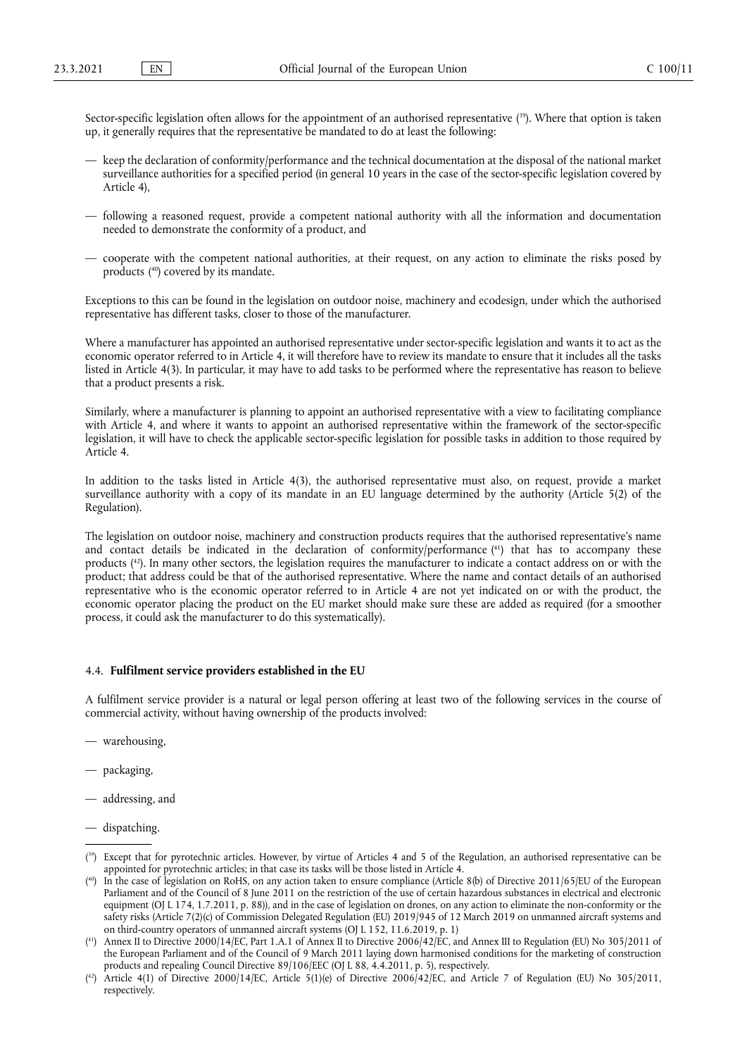<span id="page-10-4"></span>Sector-specific legislation often allows for the appointment of an authorised representative [\(39\).](#page-10-0) Where that option is taken up, it generally requires that the representative be mandated to do at least the following:

- keep the declaration of conformity/performance and the technical documentation at the disposal of the national market surveillance authorities for a specified period (in general 10 years in the case of the sector-specific legislation covered by Article 4),
- following a reasoned request, provide a competent national authority with all the information and documentation needed to demonstrate the conformity of a product, and
- <span id="page-10-5"></span>— cooperate with the competent national authorities, at their request, on any action to eliminate the risks posed by product[s \(40\)](#page-10-1) covered by its mandate.

Exceptions to this can be found in the legislation on outdoor noise, machinery and ecodesign, under which the authorised representative has different tasks, closer to those of the manufacturer.

Where a manufacturer has appointed an authorised representative under sector-specific legislation and wants it to act as the economic operator referred to in Article 4, it will therefore have to review its mandate to ensure that it includes all the tasks listed in Article 4(3). In particular, it may have to add tasks to be performed where the representative has reason to believe that a product presents a risk.

Similarly, where a manufacturer is planning to appoint an authorised representative with a view to facilitating compliance with Article 4, and where it wants to appoint an authorised representative within the framework of the sector-specific legislation, it will have to check the applicable sector-specific legislation for possible tasks in addition to those required by Article 4.

In addition to the tasks listed in Article 4(3), the authorised representative must also, on request, provide a market surveillance authority with a copy of its mandate in an EU language determined by the authority (Article 5(2) of the Regulation).

<span id="page-10-7"></span><span id="page-10-6"></span>The legislation on outdoor noise, machinery and construction products requires that the authorised representative's name and contact details be indicated in the declaration of conformity/performance [\(41\)](#page-10-2) that has to accompany these product[s \(42\)](#page-10-3). In many other sectors, the legislation requires the manufacturer to indicate a contact address on or with the product; that address could be that of the authorised representative. Where the name and contact details of an authorised representative who is the economic operator referred to in Article 4 are not yet indicated on or with the product, the economic operator placing the product on the EU market should make sure these are added as required (for a smoother process, it could ask the manufacturer to do this systematically).

# 4.4. **Fulfilment service providers established in the EU**

A fulfilment service provider is a natural or legal person offering at least two of the following services in the course of commercial activity, without having ownership of the products involved:

- warehousing,
- packaging,
- addressing, and
- dispatching.

<span id="page-10-0"></span><sup>(</sup> [39\) E](#page-10-4)xcept that for pyrotechnic articles. However, by virtue of Articles 4 and 5 of the Regulation, an authorised representative can be appointed for pyrotechnic articles; in that case its tasks will be those listed in Article 4.

<span id="page-10-1"></span><sup>(</sup> [40\) I](#page-10-5)n the case of legislation on RoHS, on any action taken to ensure compliance (Article 8(b) of Directive 2011/65/EU of the European Parliament and of the Council of 8 June 2011 on the restriction of the use of certain hazardous substances in electrical and electronic equipment (OJ L 174, 1.7.2011, p. 88)), and in the case of legislation on drones, on any action to eliminate the non-conformity or the safety risks (Article 7(2)(c) of Commission Delegated Regulation (EU) 2019/945 of 12 March 2019 on unmanned aircraft systems and on third-country operators of unmanned aircraft systems (OJ L 152, 11.6.2019, p. 1)

<span id="page-10-2"></span><sup>(</sup> [41\) A](#page-10-6)nnex II to Directive 2000/14/EC, Part 1.A.1 of Annex II to Directive 2006/42/EC, and Annex III to Regulation (EU) No 305/2011 of the European Parliament and of the Council of 9 March 2011 laying down harmonised conditions for the marketing of construction products and repealing Council Directive 89/106/EEC (OJ L 88, 4.4.2011, p. 5), respectively.

<span id="page-10-3"></span><sup>(</sup> [42\) A](#page-10-7)rticle 4(1) of Directive 2000/14/EC, Article 5(1)(e) of Directive 2006/42/EC, and Article 7 of Regulation (EU) No 305/2011, respectively.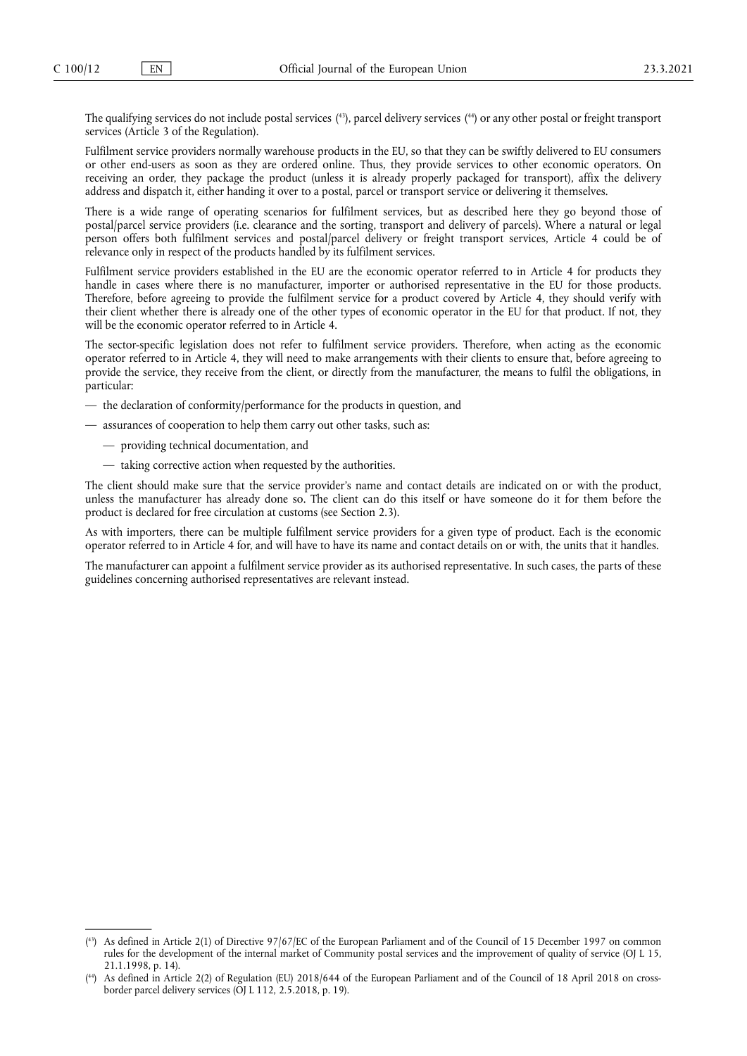<span id="page-11-2"></span>The qualifying services do not include postal services [\(43\),](#page-11-0) parcel delivery service[s \(44\)](#page-11-1) or any other postal or freight transport services (Article 3 of the Regulation).

Fulfilment service providers normally warehouse products in the EU, so that they can be swiftly delivered to EU consumers or other end-users as soon as they are ordered online. Thus, they provide services to other economic operators. On receiving an order, they package the product (unless it is already properly packaged for transport), affix the delivery address and dispatch it, either handing it over to a postal, parcel or transport service or delivering it themselves.

There is a wide range of operating scenarios for fulfilment services, but as described here they go beyond those of postal/parcel service providers (i.e. clearance and the sorting, transport and delivery of parcels). Where a natural or legal person offers both fulfilment services and postal/parcel delivery or freight transport services, Article 4 could be of relevance only in respect of the products handled by its fulfilment services.

Fulfilment service providers established in the EU are the economic operator referred to in Article 4 for products they handle in cases where there is no manufacturer, importer or authorised representative in the EU for those products. Therefore, before agreeing to provide the fulfilment service for a product covered by Article 4, they should verify with their client whether there is already one of the other types of economic operator in the EU for that product. If not, they will be the economic operator referred to in Article 4.

The sector-specific legislation does not refer to fulfilment service providers. Therefore, when acting as the economic operator referred to in Article 4, they will need to make arrangements with their clients to ensure that, before agreeing to provide the service, they receive from the client, or directly from the manufacturer, the means to fulfil the obligations, in particular:

- the declaration of conformity/performance for the products in question, and
- assurances of cooperation to help them carry out other tasks, such as:
	- providing technical documentation, and
	- taking corrective action when requested by the authorities.

The client should make sure that the service provider's name and contact details are indicated on or with the product, unless the manufacturer has already done so. The client can do this itself or have someone do it for them before the product is declared for free circulation at customs (see Section 2.3).

As with importers, there can be multiple fulfilment service providers for a given type of product. Each is the economic operator referred to in Article 4 for, and will have to have its name and contact details on or with, the units that it handles.

The manufacturer can appoint a fulfilment service provider as its authorised representative. In such cases, the parts of these guidelines concerning authorised representatives are relevant instead.

<span id="page-11-0"></span><sup>(</sup> [43\) A](#page-11-2)s defined in Article 2(1) of Directive 97/67/EC of the European Parliament and of the Council of 15 December 1997 on common rules for the development of the internal market of Community postal services and the improvement of quality of service (OJ L 15, 21.1.1998, p. 14).

<span id="page-11-1"></span><sup>(</sup> [44\) A](#page-11-2)s defined in Article 2(2) of Regulation (EU) 2018/644 of the European Parliament and of the Council of 18 April 2018 on crossborder parcel delivery services (OJ L 112, 2.5.2018, p. 19).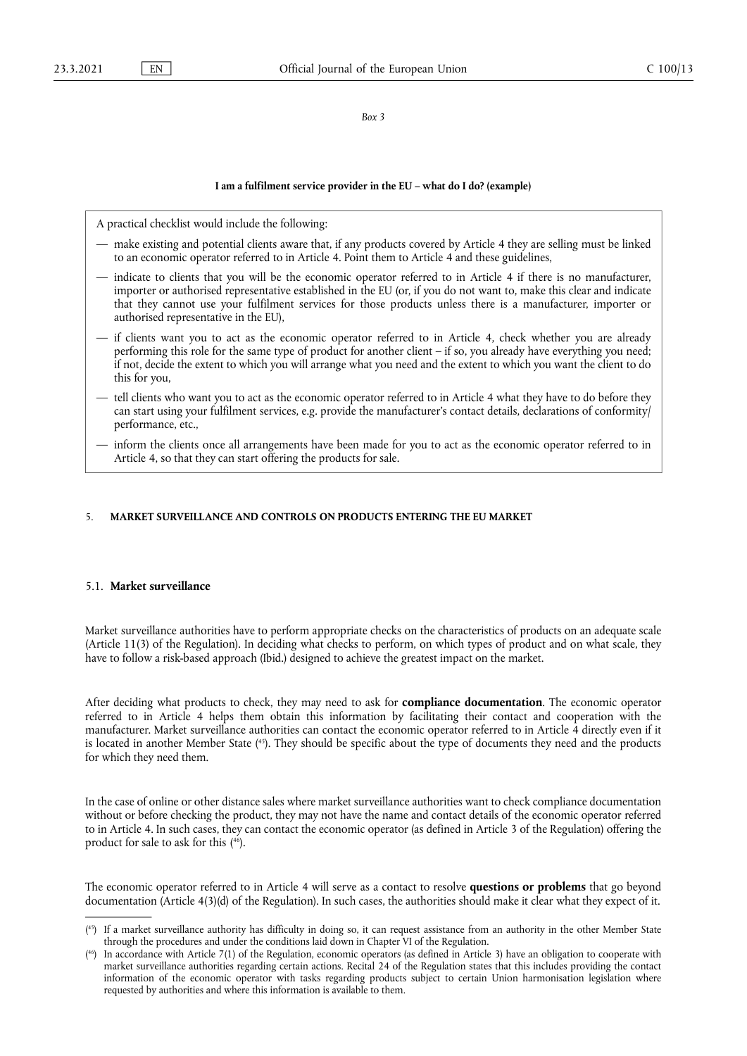#### *Box 3*

#### **I am a fulfilment service provider in the EU – what do I do? (example)**

A practical checklist would include the following:

- make existing and potential clients aware that, if any products covered by Article 4 they are selling must be linked to an economic operator referred to in Article 4. Point them to Article 4 and these guidelines,
- indicate to clients that you will be the economic operator referred to in Article 4 if there is no manufacturer, importer or authorised representative established in the EU (or, if you do not want to, make this clear and indicate that they cannot use your fulfilment services for those products unless there is a manufacturer, importer or authorised representative in the EU),
- if clients want you to act as the economic operator referred to in Article 4, check whether you are already performing this role for the same type of product for another client – if so, you already have everything you need; if not, decide the extent to which you will arrange what you need and the extent to which you want the client to do this for you,
- tell clients who want you to act as the economic operator referred to in Article 4 what they have to do before they can start using your fulfilment services, e.g. provide the manufacturer's contact details, declarations of conformity/ performance, etc.,
- inform the clients once all arrangements have been made for you to act as the economic operator referred to in Article 4, so that they can start offering the products for sale.

# 5. **MARKET SURVEILLANCE AND CONTROLS ON PRODUCTS ENTERING THE EU MARKET**

# 5.1. **Market surveillance**

Market surveillance authorities have to perform appropriate checks on the characteristics of products on an adequate scale (Article 11(3) of the Regulation). In deciding what checks to perform, on which types of product and on what scale, they have to follow a risk-based approach (Ibid.) designed to achieve the greatest impact on the market.

<span id="page-12-2"></span>After deciding what products to check, they may need to ask for **compliance documentation**. The economic operator referred to in Article 4 helps them obtain this information by facilitating their contact and cooperation with the manufacturer. Market surveillance authorities can contact the economic operator referred to in Article 4 directly even if it is located in another Member State [\(45\).](#page-12-0) They should be specific about the type of documents they need and the products for which they need them.

<span id="page-12-3"></span>In the case of online or other distance sales where market surveillance authorities want to check compliance documentation without or before checking the product, they may not have the name and contact details of the economic operator referred to in Article 4. In such cases, they can contact the economic operator (as defined in Article 3 of the Regulation) offering the product for sale to ask for thi[s \(46\).](#page-12-1)

The economic operator referred to in Article 4 will serve as a contact to resolve **questions or problems** that go beyond documentation (Article 4(3)(d) of the Regulation). In such cases, the authorities should make it clear what they expect of it.

<span id="page-12-0"></span><sup>(</sup> [45\) I](#page-12-2)f a market surveillance authority has difficulty in doing so, it can request assistance from an authority in the other Member State through the procedures and under the conditions laid down in Chapter VI of the Regulation.

<span id="page-12-1"></span><sup>(</sup> [46\) I](#page-12-3)n accordance with Article 7(1) of the Regulation, economic operators (as defined in Article 3) have an obligation to cooperate with market surveillance authorities regarding certain actions. Recital 24 of the Regulation states that this includes providing the contact information of the economic operator with tasks regarding products subject to certain Union harmonisation legislation where requested by authorities and where this information is available to them.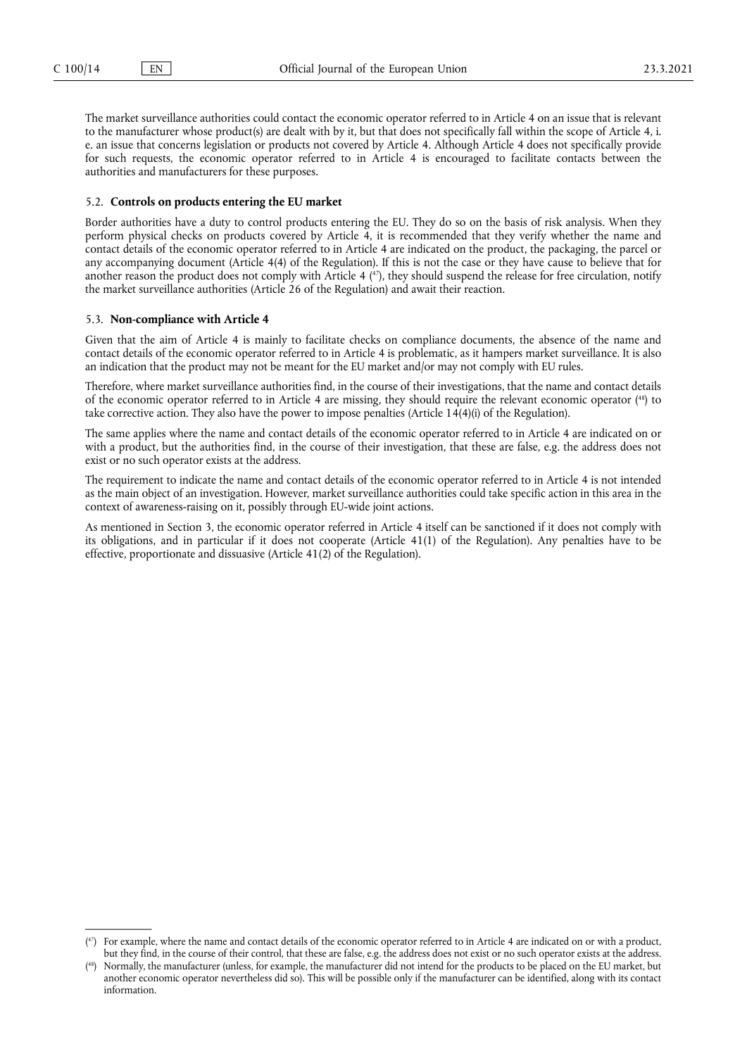The market surveillance authorities could contact the economic operator referred to in Article 4 on an issue that is relevant to the manufacturer whose product(s) are dealt with by it, but that does not specifically fall within the scope of Article 4, i. e. an issue that concerns legislation or products not covered by Article 4. Although Article 4 does not specifically provide for such requests, the economic operator referred to in Article 4 is encouraged to facilitate contacts between the authorities and manufacturers for these purposes.

# 5.2. **Controls on products entering the EU market**

Border authorities have a duty to control products entering the EU. They do so on the basis of risk analysis. When they perform physical checks on products covered by Article 4, it is recommended that they verify whether the name and contact details of the economic operator referred to in Article 4 are indicated on the product, the packaging, the parcel or any accompanying document (Article 4(4) of the Regulation). If this is not the case or they have cause to believe that for another reason the product does not comply with Article 4  $(4)$ , they should suspend the release for free circulation, notify the market surveillance authorities (Article 26 of the Regulation) and await their reaction.

#### <span id="page-13-2"></span>5.3. **Non-compliance with Article 4**

Given that the aim of Article 4 is mainly to facilitate checks on compliance documents, the absence of the name and contact details of the economic operator referred to in Article 4 is problematic, as it hampers market surveillance. It is also an indication that the product may not be meant for the EU market and/or may not comply with EU rules.

<span id="page-13-3"></span>Therefore, where market surveillance authorities find, in the course of their investigations, that the name and contact details of the economic operator referred to in Article 4 are missing, they should require the relevant economic operato[r \(48\)](#page-13-1) to take corrective action. They also have the power to impose penalties (Article 14(4)(i) of the Regulation).

The same applies where the name and contact details of the economic operator referred to in Article 4 are indicated on or with a product, but the authorities find, in the course of their investigation, that these are false, e.g. the address does not exist or no such operator exists at the address.

The requirement to indicate the name and contact details of the economic operator referred to in Article 4 is not intended as the main object of an investigation. However, market surveillance authorities could take specific action in this area in the context of awareness-raising on it, possibly through EU-wide joint actions.

As mentioned in Section 3, the economic operator referred in Article 4 itself can be sanctioned if it does not comply with its obligations, and in particular if it does not cooperate (Article 41(1) of the Regulation). Any penalties have to be effective, proportionate and dissuasive (Article 41(2) of the Regulation).

<span id="page-13-0"></span><sup>(</sup> [47\) F](#page-13-2)or example, where the name and contact details of the economic operator referred to in Article 4 are indicated on or with a product, but they find, in the course of their control, that these are false, e.g. the address does not exist or no such operator exists at the address.

<span id="page-13-1"></span><sup>(</sup> [48\) N](#page-13-3)ormally, the manufacturer (unless, for example, the manufacturer did not intend for the products to be placed on the EU market, but another economic operator nevertheless did so). This will be possible only if the manufacturer can be identified, along with its contact information.